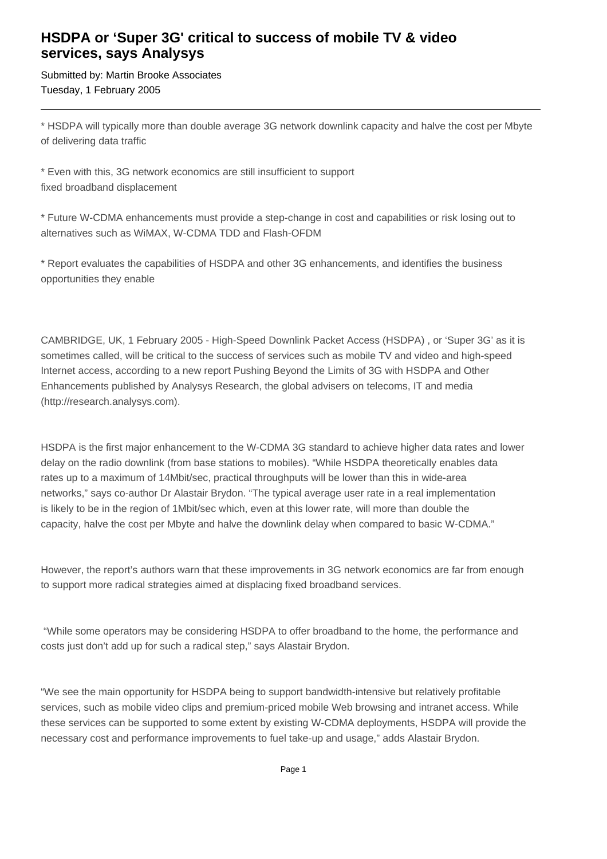## **HSDPA or 'Super 3G' critical to success of mobile TV & video services, says Analysys**

Submitted by: Martin Brooke Associates Tuesday, 1 February 2005

\* HSDPA will typically more than double average 3G network downlink capacity and halve the cost per Mbyte of delivering data traffic

\* Even with this, 3G network economics are still insufficient to support fixed broadband displacement

\* Future W-CDMA enhancements must provide a step-change in cost and capabilities or risk losing out to alternatives such as WiMAX, W-CDMA TDD and Flash-OFDM

\* Report evaluates the capabilities of HSDPA and other 3G enhancements, and identifies the business opportunities they enable

CAMBRIDGE, UK, 1 February 2005 - High-Speed Downlink Packet Access (HSDPA) , or 'Super 3G' as it is sometimes called, will be critical to the success of services such as mobile TV and video and high-speed Internet access, according to a new report Pushing Beyond the Limits of 3G with HSDPA and Other Enhancements published by Analysys Research, the global advisers on telecoms, IT and media (http://research.analysys.com).

HSDPA is the first major enhancement to the W-CDMA 3G standard to achieve higher data rates and lower delay on the radio downlink (from base stations to mobiles). "While HSDPA theoretically enables data rates up to a maximum of 14Mbit/sec, practical throughputs will be lower than this in wide-area networks," says co-author Dr Alastair Brydon. "The typical average user rate in a real implementation is likely to be in the region of 1Mbit/sec which, even at this lower rate, will more than double the capacity, halve the cost per Mbyte and halve the downlink delay when compared to basic W-CDMA."

However, the report's authors warn that these improvements in 3G network economics are far from enough to support more radical strategies aimed at displacing fixed broadband services.

 "While some operators may be considering HSDPA to offer broadband to the home, the performance and costs just don't add up for such a radical step," says Alastair Brydon.

"We see the main opportunity for HSDPA being to support bandwidth-intensive but relatively profitable services, such as mobile video clips and premium-priced mobile Web browsing and intranet access. While these services can be supported to some extent by existing W-CDMA deployments, HSDPA will provide the necessary cost and performance improvements to fuel take-up and usage," adds Alastair Brydon.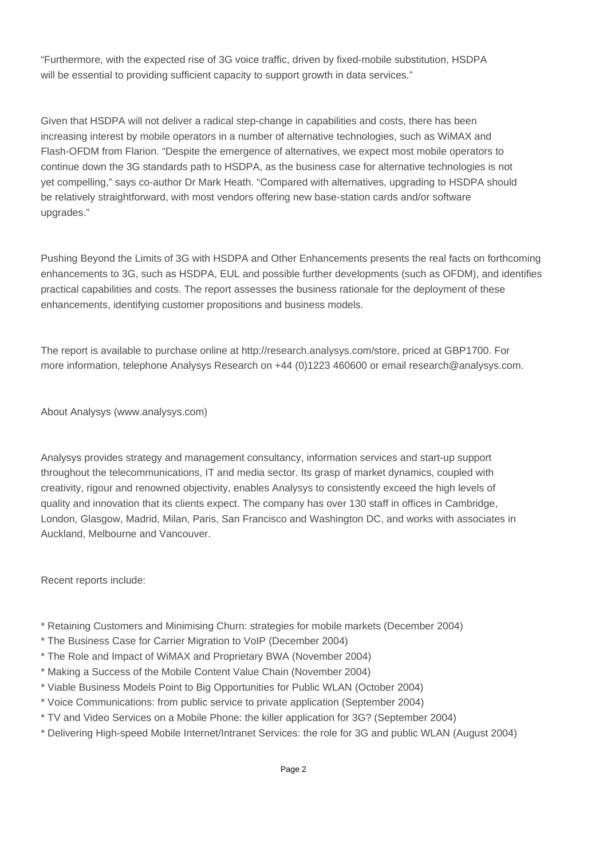"Furthermore, with the expected rise of 3G voice traffic, driven by fixed-mobile substitution, HSDPA will be essential to providing sufficient capacity to support growth in data services."

Given that HSDPA will not deliver a radical step-change in capabilities and costs, there has been increasing interest by mobile operators in a number of alternative technologies, such as WiMAX and Flash-OFDM from Flarion. "Despite the emergence of alternatives, we expect most mobile operators to continue down the 3G standards path to HSDPA, as the business case for alternative technologies is not yet compelling," says co-author Dr Mark Heath. "Compared with alternatives, upgrading to HSDPA should be relatively straightforward, with most vendors offering new base-station cards and/or software upgrades."

Pushing Beyond the Limits of 3G with HSDPA and Other Enhancements presents the real facts on forthcoming enhancements to 3G, such as HSDPA, EUL and possible further developments (such as OFDM), and identifies practical capabilities and costs. The report assesses the business rationale for the deployment of these enhancements, identifying customer propositions and business models.

The report is available to purchase online at http://research.analysys.com/store, priced at GBP1700. For more information, telephone Analysys Research on +44 (0)1223 460600 or email research@analysys.com.

About Analysys (www.analysys.com)

Analysys provides strategy and management consultancy, information services and start-up support throughout the telecommunications, IT and media sector. Its grasp of market dynamics, coupled with creativity, rigour and renowned objectivity, enables Analysys to consistently exceed the high levels of quality and innovation that its clients expect. The company has over 130 staff in offices in Cambridge, London, Glasgow, Madrid, Milan, Paris, San Francisco and Washington DC, and works with associates in Auckland, Melbourne and Vancouver.

Recent reports include:

- \* Retaining Customers and Minimising Churn: strategies for mobile markets (December 2004)
- \* The Business Case for Carrier Migration to VoIP (December 2004)
- \* The Role and Impact of WiMAX and Proprietary BWA (November 2004)
- \* Making a Success of the Mobile Content Value Chain (November 2004)
- \* Viable Business Models Point to Big Opportunities for Public WLAN (October 2004)
- \* Voice Communications: from public service to private application (September 2004)
- \* TV and Video Services on a Mobile Phone: the killer application for 3G? (September 2004)
- \* Delivering High-speed Mobile Internet/Intranet Services: the role for 3G and public WLAN (August 2004)